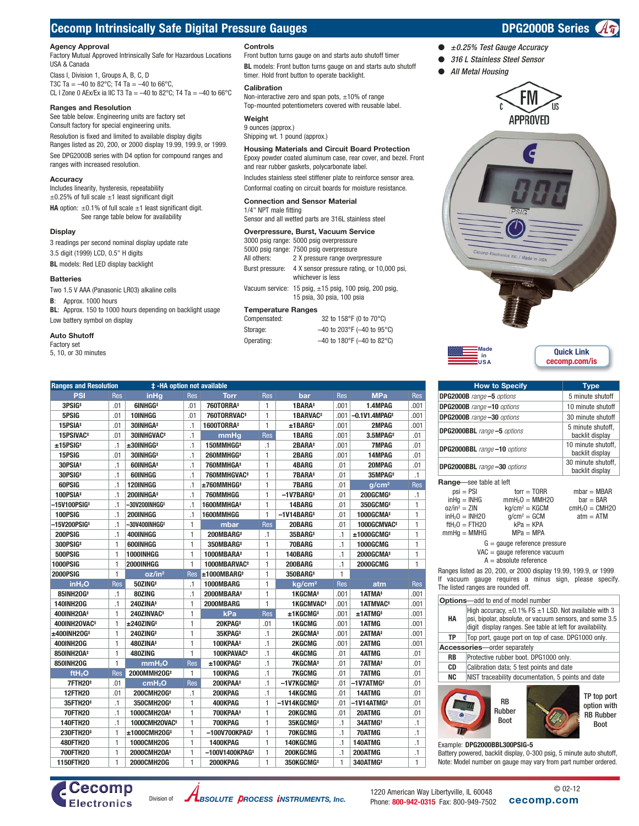# **Cecomp Intrinsically Safe Digital Pressure Gauges Department Construction Construction CPG2000B Series**

## **Agency Approval**

Factory Mutual Approved Intrinsically Safe for Hazardous Locations USA & Canada

Class I, Division 1, Groups A, B, C, D T3C Ta =  $-40$  to 82°C; T4 Ta =  $-40$  to 66°C, CL I Zone 0 AEx/Ex ia IIC T3 Ta = -40 to 82°C; T4 Ta = -40 to 66°C

## **Ranges and Resolution**

See table below. Engineering units are factory set Consult factory for special engineering units. Resolution is fixed and limited to available display digits Ranges listed as 20, 200, or 2000 display 19.99, 199.9, or 1999. See DPG2000B series with D4 option for compound ranges and ranges with increased resolution.

### **Accuracy**

Includes linearity, hysteresis, repeatability  $\pm$ 0.25% of full scale  $\pm$ 1 least significant digit **HA** option:  $\pm 0.1\%$  of full scale  $\pm 1$  least significant digit. See range table below for availability

## **Display**

3 readings per second nominal display update rate 3.5 digit (1999) LCD, 0.5" H digits **BL** models: Red LED display backlight

## **Batteries**

Two 1.5 V AAA (Panasonic LR03) alkaline cells

**B**: Approx. 1000 hours

**BL**: Approx. 150 to 1000 hours depending on backlight usage Low battery symbol on display

**Ranges and Resolution # -HA option not available** 

## **Auto Shutoff**

Factory set

5, 10, or 30 minutes

## **Controls**

Front button turns gauge on and starts auto shutoff timer **BL** models: Front button turns gauge on and starts auto shutoff timer. Hold front button to operate backlight.

## **Calibration**

Non-interactive zero and span pots, ±10% of range Top-mounted potentiometers covered with reusable label.

## **Weight**

**PSI** Res **inHg** Res **Torr** Res **bar** Res **MPa** Res  **3PSIG‡** .01 **6INHGG‡** .01 **760TORRA‡** 1 **1BARA‡** .001 **1.4MPAG** .001  **5PSIG** .01 **10INHGG** .01 **760TORRVAC‡** 1 **1BARVAC‡** .001 **–0.1V1.4MPAG‡** .001  **15PSIA‡** .01 **30INHGA‡** .1 **1600TORRA‡** 1 **±1BARG‡** .001 **2MPAG** .001  **15PSIVAC‡** .01 **30INHGVAC‡** .1 **mmHg** Res **1BARG** .001 **3.5MPAG‡** .01  **±15PSIG‡** .1 **±30INHGG‡** .1 **150MMHGG‡** .1 **2BARA‡** .001 **7MPAG** .01  **15PSIG** .01 **30INHGG‡** .1 **260MMHGG‡** 1 **2BARG** .001 **14MPAG** .01  **30PSIA‡** .1 **60INHGA‡** .1 **760MMHGA‡** 1 **4BARG** .01 **20MPAG** .01  **30PSIG‡** .1 **60INHGG** .1 **760MMHGVAC‡** 1 **7BARA‡** .01 **35MPAG‡** .1  **60PSIG** .1 **120INHGG** .1 **±760MMHGG‡** 1 **7BARG** .01 **g/cm2** Res  **100PSIA‡** .1 **200INHGA‡** .1 **760MMHGG** 1 **–1V7BARG‡** .01 **200GCMG‡** .1  **–15V100PSIG‡** .1 **–30V200INHGG‡** .1 **1600MMHGA‡** 1 **14BARG** .01 **350GCMG‡** 1  **100PSIG** .1 **200INHGG** .1 **1600MMHGG** 1 **–1V14BARG‡** .01 **1000GCMA‡** 1  **–15V200PSIG‡** .1 **–30V400INHGG‡** 1 **mbar** Res **20BARG** .01 **1000GCMVAC‡** 1  **200PSIG** .1 **400INHGG** 1 **200MBARG‡** .1 **35BARG‡** .1 **±1000GCMG‡** 1  **300PSIG‡** 1 **600INHGG** 1 **350MBARG‡** 1 **70BARG** .1 **1000GCMG** 1  **500PSIG** 1 **1000INHGG** 1 **1000MBARA‡** 1 **140BARG** .1 **2000GCMA‡** 1  **1000PSIG** 1 **2000INHGG** 1 **1000MBARVAC‡** 1 **200BARG** .1 **2000GCMG** 1

**inH2O** Res **50ZING‡** .1 **1000MBARG** 1 **kg/cm2** Res **atm** Res  **85INH2OG‡** .1 **80ZING** .1 **2000MBARA‡** 1 **1KGCMA‡** .001 **1ATMA‡** .001  **140INH2OG** .1 **240ZINA‡** 1 **2000MBARG** 1 **1KGCMVAC‡** .001 **1ATMVAC‡** .001  **400INH2OA‡** 1 **240ZINVAC‡** 1 **kPa** Res **±1KGCMG‡** .001 **±1ATMG‡** .001  **400INH2OVAC‡** 1 **±240ZING‡** 1 **20KPAG‡** .01 **1KGCMG** .001 **1ATMG** .001  **±400INH2OG‡** 1 **240ZING‡** 1 **35KPAG‡** .1 **2KGCMA‡** .001 **2ATMA‡** .001  **400INH2OG** 1 **480ZINA‡** 1 **100KPAA‡** .1 **2KGCMG** .001 **2ATMG** .001  **850INH2OA‡** 1 **480ZING** 1 **100KPAVAC‡** .1 **4KGCMG** .01 **4ATMG** .01  **850INH2OG** 1 **mmH2O** Res **±100KPAG‡** .1 **7KGCMA‡** .01 **7ATMA‡** .01 **ftH2O** Res **2000MMH2OG‡** 1 **100KPAG** .1 **7KGCMG** .01 **7ATMG** .01  **7FTH2O‡** .01 **cmH2O** Res **200KPAA‡** .1 **–1V7KGCMG‡** .01 **–1V7ATMG‡** .01  **12FTH2O** .01 **200CMH2OG‡** .1 **200KPAG** .1 **14KGCMG** .01 **14ATMG** .01  **35FTH2O‡** .1 **350CMH2OG‡** 1 **400KPAG** 1 **–1V14KGCMG‡** .01 **–1V14ATMG‡** .01  **70FTH2O** .1 **1000CMH2OA‡** 1 **700KPAA‡** 1 **20KGCMG** .01 **20ATMG** .01  **140FTH2O** .1 **1000CMH2OVAC‡** 1 **700KPAG** 1 **35KGCMG‡** .1 **34ATMG†** .1  **230FTH2O‡** 1 **±1000CMH2OG‡** 1 **–100V700KPAG‡** 1 **70KGCMG** .1 **70ATMG** .1  **480FTH2O** 1 **1000CMH2OG** 1 **1400KPAG** 1 **140KGCMG** .1 **140ATMG** .1  **700FTH2O** 1 **2000CMH2OA‡** 1 **–100V1400KPAG‡** 1 **200KGCMG** .1 **200ATMG** .1  **1150FTH2O** 1 **2000CMH2OG** 1 **2000KPAG** 1 **350KGCMG‡** 1 **340ATMG‡** 1

9 ounces (approx.) Shipping wt. 1 pound (approx.)

## **Housing Materials and Circuit Board Protection** Epoxy powder coated aluminum case, rear cover, and bezel. Front

and rear rubber gaskets, polycarbonate label. Includes stainless steel stiffener plate to reinforce sensor area.

Conformal coating on circuit boards for moisture resistance.

### **Connection and Sensor Material** 1/4" NPT male fitting

Sensor and all wetted parts are 316L stainless steel

### **Overpressure, Burst, Vacuum Service**

|                           |              | 3000 psig range: 5000 psig overpressure                                                   |  |  |
|---------------------------|--------------|-------------------------------------------------------------------------------------------|--|--|
|                           |              | 5000 psig range: 7500 psig overpressure                                                   |  |  |
|                           | All others:  | 2 X pressure range overpressure                                                           |  |  |
|                           |              | Burst pressure: 4 X sensor pressure rating, or 10,000 psi,<br>whichever is less           |  |  |
|                           |              | Vacuum service: 15 psig, $\pm$ 15 psig, 100 psig, 200 psig,<br>15 psia, 30 psia, 100 psia |  |  |
| <b>Temperature Ranges</b> |              |                                                                                           |  |  |
|                           | Compensated: | 32 to 158°F (0 to 70°C)                                                                   |  |  |

| oomponuutuu. | <u>UL IU I UU I IU IU UI</u> |
|--------------|------------------------------|
| Storage:     | $-40$ to 203°F (-40 to 95°C) |
| Operating:   | $-40$ to 180°F (-40 to 82°C) |

## *316 L Stainless Steel Sensor All Metal Housing*

FM **APPROVED** 







|                                                                                                                                                                 | <b>How to Specify</b>                 | <u>Type</u>      |  |  |
|-----------------------------------------------------------------------------------------------------------------------------------------------------------------|---------------------------------------|------------------|--|--|
| <b>DPG2000B</b> range -5 options                                                                                                                                |                                       | 5 minute shutoff |  |  |
| DPG2000B range-10 options                                                                                                                                       | 10 minute shutoff                     |                  |  |  |
| DPG2000B range -30 options                                                                                                                                      | 30 minute shutoff                     |                  |  |  |
| <b>DPG2000BBL</b> range -5 options                                                                                                                              | 5 minute shutoff,<br>backlit display  |                  |  |  |
| <b>DPG2000BBL</b> range -10 options                                                                                                                             | 10 minute shutoff,<br>backlit display |                  |  |  |
| <b>DPG2000BBL</b> range -30 options                                                                                                                             | 30 minute shutoff,<br>backlit display |                  |  |  |
| <b>Range</b> see table at left                                                                                                                                  |                                       |                  |  |  |
| $psi = PSI$                                                                                                                                                     | $tor = TORR$                          | $mbar = MBAR$    |  |  |
| $in$ Hq $=$ INHG                                                                                                                                                | $mmH2O = MMH2O$                       | $bar = BAR$      |  |  |
| $oz/in^2 = ZIN$                                                                                                                                                 | $kq/cm^2 = KGCM$                      | $cmH2O = CMH2O$  |  |  |
| $\mathsf{inH}_{2}0 = \mathsf{INH20}$                                                                                                                            | $q/cm^2 = GCM$                        | $atm = ATM$      |  |  |
| $\text{fth}_{2}0 = \text{FTH20}$                                                                                                                                | $kPa = KPA$                           |                  |  |  |
| $mmHq = MMHG$                                                                                                                                                   | $MPa = MPA$                           |                  |  |  |
| $G =$ gauge reference pressure<br>$VAC =$ qauge reference vacuum<br>$A =$ absolute reference                                                                    |                                       |                  |  |  |
| Ranges listed as 20, 200, or 2000 display 19.99, 199.9, or 1999<br>If vacuum gauge requires a minus sign, please specify.<br>The listed ranges are rounded off. |                                       |                  |  |  |
| <b>Options-add to end of model number</b>                                                                                                                       |                                       |                  |  |  |



Battery powered, backlit display, 0-300 psig, 5 minute auto shutoff, Note: Model number on gauge may vary from part number ordered.





 **2000PSIG** 1 **oz/in2** Res **±1000MBARG‡** 1 **350BARG‡** 1



1220 American Way Libertyville, IL 60048 Phone: **800-942-0315** Fax: 800-949-7502 **cecomp.com** © 02-12

*±0.25% Test Gauge Accuracy*